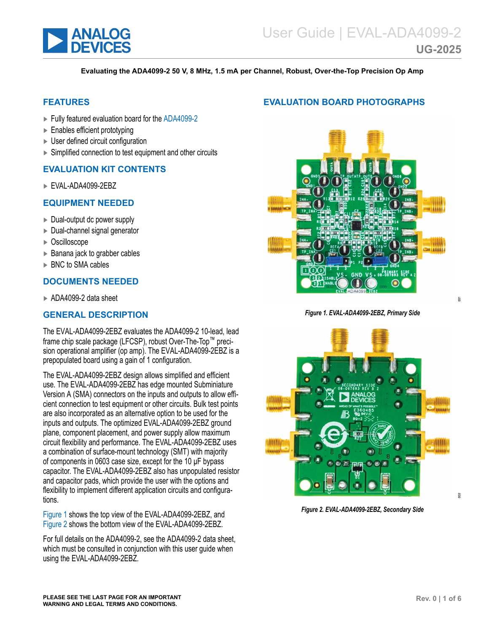<span id="page-0-0"></span>

#### **Evaluating the ADA4099-2 50 V, 8 MHz, 1.5 mA per Channel, Robust, Over-the-Top Precision Op Amp**

### **FEATURES**

- ► Fully featured evaluation board for the [ADA4099-2](https://www.analog.com/ADA4099-2)
- ► Enables efficient prototyping
- ► User defined circuit configuration
- ► Simplified connection to test equipment and other circuits

#### **EVALUATION KIT CONTENTS**

► EVAL-ADA4099-2EBZ

#### **EQUIPMENT NEEDED**

- ► Dual-output dc power supply
- ► Dual-channel signal generator
- ► Oscilloscope
- ► Banana jack to grabber cables
- ► BNC to SMA cables

## **DOCUMENTS NEEDED**

► ADA4099-2 data sheet

#### **GENERAL DESCRIPTION**

The EVAL-ADA4099-2EBZ evaluates the ADA4099-2 10-lead, lead frame chip scale package (LFCSP), robust Over-The-Top™ precision operational amplifier (op amp). The EVAL-ADA4099-2EBZ is a prepopulated board using a gain of 1 configuration.

The EVAL-ADA4099-2EBZ design allows simplified and efficient use. The EVAL-ADA4099-2EBZ has edge mounted Subminiature Version A (SMA) connectors on the inputs and outputs to allow efficient connection to test equipment or other circuits. Bulk test points are also incorporated as an alternative option to be used for the inputs and outputs. The optimized EVAL-ADA4099-2EBZ ground plane, component placement, and power supply allow maximum circuit flexibility and performance. The EVAL-ADA4099-2EBZ uses a combination of surface-mount technology (SMT) with majority of components in 0603 case size, except for the 10 μF bypass capacitor. The EVAL-ADA4099-2EBZ also has unpopulated resistor and capacitor pads, which provide the user with the options and flexibility to implement different application circuits and configurations.

Figure 1 shows the top view of the EVAL-ADA4099-2EBZ, and Figure 2 shows the bottom view of the EVAL-ADA4099-2EBZ.

For full details on the ADA4099-2, see the ADA4099-2 data sheet, which must be consulted in conjunction with this user guide when using the EVAL-ADA4099-2EBZ.

### **EVALUATION BOARD PHOTOGRAPHS**



#### *Figure 1. EVAL-ADA4099-2EBZ, Primary Side*



*Figure 2. EVAL-ADA4099-2EBZ, Secondary Side*

<sub>301</sub>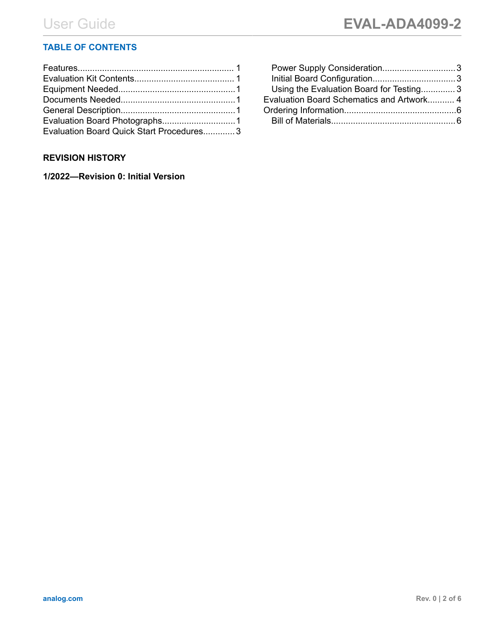## **TABLE OF CONTENTS**

| Evaluation Board Quick Start Procedures 3 |  |
|-------------------------------------------|--|

## **REVISION HISTORY**

**1/2022—Revision 0: Initial Version**

| Power Supply Consideration3               |  |
|-------------------------------------------|--|
|                                           |  |
| Using the Evaluation Board for Testing3   |  |
| Evaluation Board Schematics and Artwork 4 |  |
|                                           |  |
|                                           |  |
|                                           |  |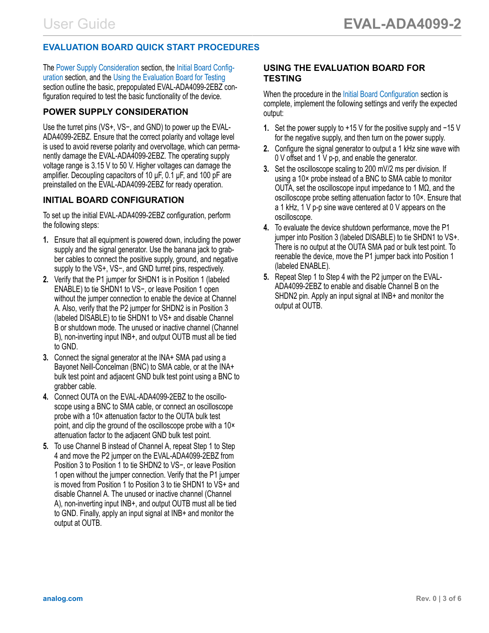# <span id="page-2-0"></span>**EVALUATION BOARD QUICK START PROCEDURES**

The Power Supply Consideration section, the Initial Board Configuration section, and the Using the Evaluation Board for Testing section outline the basic, prepopulated EVAL-ADA4099-2EBZ configuration required to test the basic functionality of the device.

## **POWER SUPPLY CONSIDERATION**

Use the turret pins (VS+, VS−, and GND) to power up the EVAL-ADA4099-2EBZ. Ensure that the correct polarity and voltage level is used to avoid reverse polarity and overvoltage, which can permanently damage the EVAL-ADA4099-2EBZ. The operating supply voltage range is 3.15 V to 50 V. Higher voltages can damage the amplifier. Decoupling capacitors of 10 μF, 0.1 μF, and 100 pF are preinstalled on the EVAL-ADA4099-2EBZ for ready operation.

## **INITIAL BOARD CONFIGURATION**

To set up the initial EVAL-ADA4099-2EBZ configuration, perform the following steps:

- **1.** Ensure that all equipment is powered down, including the power supply and the signal generator. Use the banana jack to grabber cables to connect the positive supply, ground, and negative supply to the VS+, VS−, and GND turret pins, respectively.
- **2.** Verify that the P1 jumper for SHDN1 is in Position 1 (labeled ENABLE) to tie SHDN1 to VS−, or leave Position 1 open without the jumper connection to enable the device at Channel A. Also, verify that the P2 jumper for SHDN2 is in Position 3 (labeled DISABLE) to tie SHDN1 to VS+ and disable Channel B or shutdown mode. The unused or inactive channel (Channel B), non-inverting input INB+, and output OUTB must all be tied to GND.
- **3.** Connect the signal generator at the INA+ SMA pad using a Bayonet Neill-Concelman (BNC) to SMA cable, or at the INA+ bulk test point and adjacent GND bulk test point using a BNC to grabber cable.
- **4.** Connect OUTA on the EVAL-ADA4099-2EBZ to the oscilloscope using a BNC to SMA cable, or connect an oscilloscope probe with a 10× attenuation factor to the OUTA bulk test point, and clip the ground of the oscilloscope probe with a 10× attenuation factor to the adjacent GND bulk test point.
- **5.** To use Channel B instead of Channel A, repeat Step 1 to Step 4 and move the P2 jumper on the EVAL-ADA4099-2EBZ from Position 3 to Position 1 to tie SHDN2 to VS−, or leave Position 1 open without the jumper connection. Verify that the P1 jumper is moved from Position 1 to Position 3 to tie SHDN1 to VS+ and disable Channel A. The unused or inactive channel (Channel A), non-inverting input INB+, and output OUTB must all be tied to GND. Finally, apply an input signal at INB+ and monitor the output at OUTB.

### **USING THE EVALUATION BOARD FOR TESTING**

When the procedure in the Initial Board Configuration section is complete, implement the following settings and verify the expected output:

- **1.** Set the power supply to +15 V for the positive supply and −15 V for the negative supply, and then turn on the power supply.
- **2.** Configure the signal generator to output a 1 kHz sine wave with 0 V offset and 1 V p-p, and enable the generator.
- **3.** Set the oscilloscope scaling to 200 mV/2 ms per division. If using a 10× probe instead of a BNC to SMA cable to monitor OUTA, set the oscilloscope input impedance to 1 MΩ, and the oscilloscope probe setting attenuation factor to 10×. Ensure that a 1 kHz, 1 V p-p sine wave centered at 0 V appears on the oscilloscope.
- **4.** To evaluate the device shutdown performance, move the P1 jumper into Position 3 (labeled DISABLE) to tie SHDN1 to VS+. There is no output at the OUTA SMA pad or bulk test point. To reenable the device, move the P1 jumper back into Position 1 (labeled ENABLE).
- **5.** Repeat Step 1 to Step 4 with the P2 jumper on the EVAL-ADA4099-2EBZ to enable and disable Channel B on the SHDN2 pin. Apply an input signal at INB+ and monitor the output at OUTB.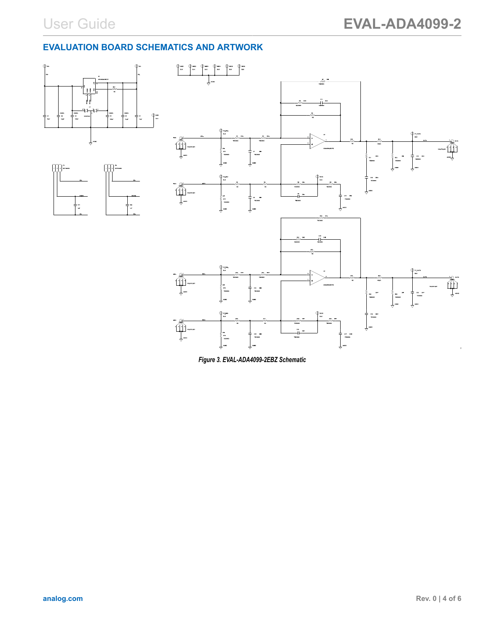# <span id="page-3-0"></span>**EVALUATION BOARD SCHEMATICS AND ARTWORK**



*Figure 3. EVAL-ADA4099-2EBZ Schematic*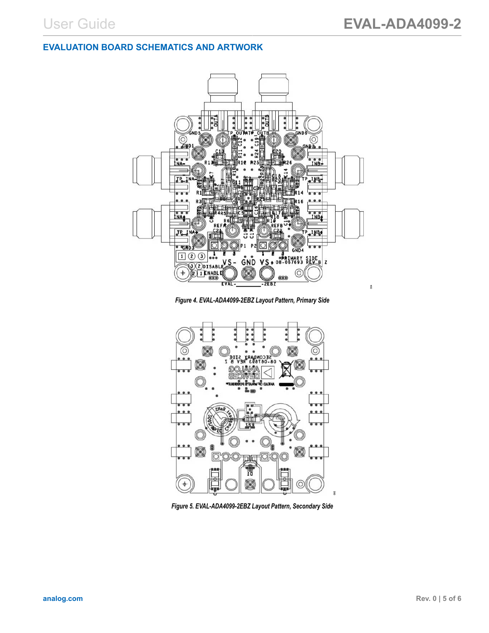### **EVALUATION BOARD SCHEMATICS AND ARTWORK**



*Figure 4. EVAL-ADA4099-2EBZ Layout Pattern, Primary Side*



*Figure 5. EVAL-ADA4099-2EBZ Layout Pattern, Secondary Side*